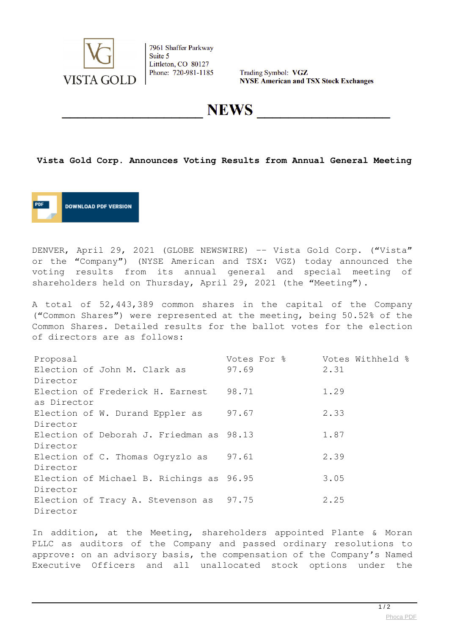

7961 Shaffer Parkway Suite 5 Littleton, CO 80127 Phone: 720-981-1185

Trading Symbol: VGZ **NYSE American and TSX Stock Exchanges** 

**NEWS** 

## **Vista Gold Corp. Announces Voting Results from Annual General Meeting**



DENVER, April 29, 2021 (GLOBE NEWSWIRE) -- Vista Gold Corp. ("Vista" or the "Company") (NYSE American and TSX: VGZ) today announced the voting results from its annual general and special meeting of shareholders held on Thursday, April 29, 2021 (the "Meeting").

A total of 52,443,389 common shares in the capital of the Company ("Common Shares") were represented at the meeting, being 50.52% of the Common Shares. Detailed results for the ballot votes for the election of directors are as follows:

| Proposal                     |                                          | Votes For % | Votes Withheld % |
|------------------------------|------------------------------------------|-------------|------------------|
| Election of John M. Clark as |                                          | 97.69       | 2.31             |
| Director                     |                                          |             |                  |
|                              | Election of Frederick H. Earnest         | 98.71       | 1.29             |
| as Director                  |                                          |             |                  |
|                              | Election of W. Durand Eppler as          | 97.67       | 2.33             |
| Director                     |                                          |             |                  |
|                              | Election of Deborah J. Friedman as 98.13 |             | 1.87             |
| Director                     |                                          |             |                  |
|                              | Election of C. Thomas Ogryzlo as 97.61   |             | 2.39             |
| Director                     |                                          |             |                  |
|                              | Election of Michael B. Richings as 96.95 |             | 3.05             |
| Director                     |                                          |             |                  |
|                              | Election of Tracy A. Stevenson as 97.75  |             | 2.25             |
| Director                     |                                          |             |                  |

In addition, at the Meeting, shareholders appointed Plante & Moran PLLC as auditors of the Company and passed ordinary resolutions to approve: on an advisory basis, the compensation of the Company's Named Executive Officers and all unallocated stock options under the